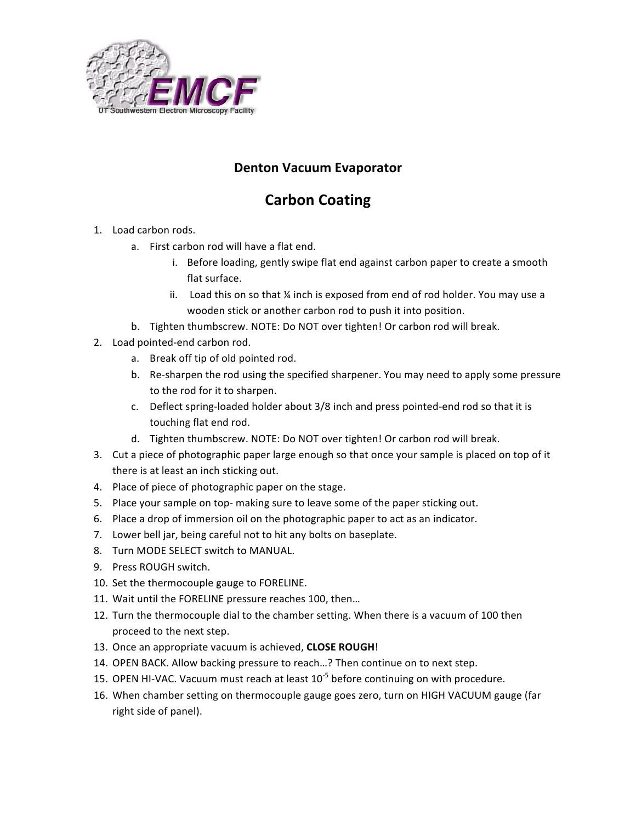

## **Denton!Vacuum!Evaporator**

## **Carbon!Coating**

- 1. Load carbon rods.
	- a. First carbon rod will have a flat end.
		- i. Before loading, gently swipe flat end against carbon paper to create a smooth flat surface.
		- ii. Load this on so that ¼ inch is exposed from end of rod holder. You may use a wooden stick or another carbon rod to push it into position.
	- b. Tighten thumbscrew. NOTE: Do NOT over tighten! Or carbon rod will break.
- 2. Load pointed-end carbon rod.
	- a. Break off tip of old pointed rod.
	- b. Re-sharpen the rod using the specified sharpener. You may need to apply some pressure to the rod for it to sharpen.
	- c. Deflect spring-loaded holder about 3/8 inch and press pointed-end rod so that it is touching flat end rod.
	- d. Tighten thumbscrew. NOTE: Do NOT over tighten! Or carbon rod will break.
- 3. Cut a piece of photographic paper large enough so that once your sample is placed on top of it there is at least an inch sticking out.
- 4. Place of piece of photographic paper on the stage.
- 5. Place your sample on top- making sure to leave some of the paper sticking out.
- 6. Place a drop of immersion oil on the photographic paper to act as an indicator.
- 7. Lower bell jar, being careful not to hit any bolts on baseplate.
- 8. Turn MODE SELECT switch to MANUAL.
- 9. Press ROUGH switch.
- 10. Set the thermocouple gauge to FORELINE.
- 11. Wait until the FORELINE pressure reaches 100, then...
- 12. Turn the thermocouple dial to the chamber setting. When there is a vacuum of 100 then proceed to the next step.
- 13. Once an appropriate vacuum is achieved, **CLOSE ROUGH!**
- 14. OPEN BACK. Allow backing pressure to reach...? Then continue on to next step.
- 15. OPEN HI-VAC. Vacuum must reach at least  $10^{-5}$  before continuing on with procedure.
- 16. When chamber setting on thermocouple gauge goes zero, turn on HIGH VACUUM gauge (far right side of panel).